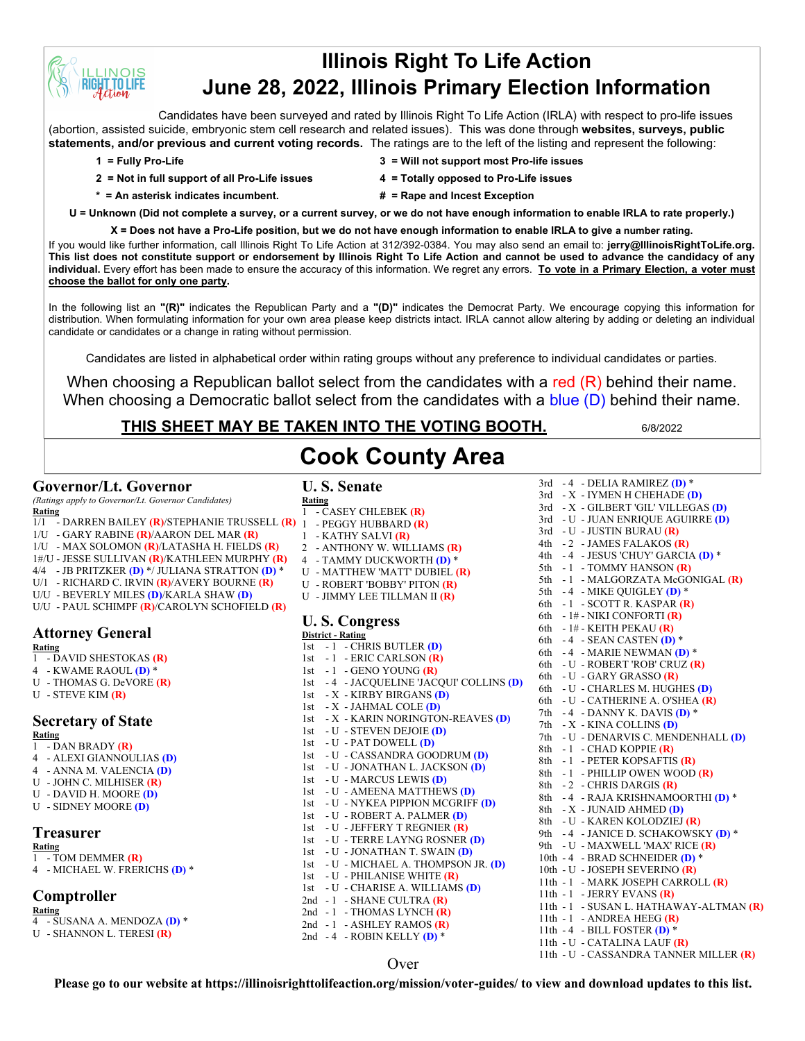# **Illinois Right To Life Action June 28, 2022, Illinois Primary Election Information**

Candidates have been surveyed and rated by Illinois Right To Life Action (IRLA) with respect to pro-life issues (abortion, assisted suicide, embryonic stem cell research and related issues). This was done through **websites, surveys, public statements, and/or previous and current voting records.** The ratings are to the left of the listing and represent the following:

**INOIS T.TO LIFE** 

- **2 = Not in full support of all Pro-Life issues 4 = Totally opposed to Pro-Life issues**
- **1 = Fully Pro-Life 3 = Will not support most Pro-life issues**
	-
- **\* = An asterisk indicates incumbent. # = Rape and Incest Exception**
- 
- **U = Unknown (Did not complete a survey, or a current survey, or we do not have enough information to enable IRLA to rate properly.)**

**X = Does not have a Pro-Life position, but we do not have enough information to enable IRLA to give a number rating.** 

If you would like further information, call Illinois Right To Life Action at 312/392-0384. You may also send an email to: **jerry@IllinoisRightToLife.org. This list does not constitute support or endorsement by Illinois Right To Life Action and cannot be used to advance the candidacy of any individual.** Every effort has been made to ensure the accuracy of this information. We regret any errors. **To vote in a Primary Election, a voter must choose the ballot for only one party.**

In the following list an **"(R)"** indicates the Republican Party and a **"(D)"** indicates the Democrat Party. We encourage copying this information for distribution. When formulating information for your own area please keep districts intact. IRLA cannot allow altering by adding or deleting an individual candidate or candidates or a change in rating without permission.

Candidates are listed in alphabetical order within rating groups without any preference to individual candidates or parties.

When choosing a Republican ballot select from the candidates with a red  $(R)$  behind their name. When choosing a Democratic ballot select from the candidates with a blue (D) behind their name.

### **THIS SHEET MAY BE TAKEN INTO THE VOTING BOOTH.** 6/8/2022

3rd - 4 - DELIA RAMIREZ **(D)** \*

#### **Governor/Lt. Governor**

*(Ratings apply to Governor/Lt. Governor Candidates)*

- **Rating** 1/1 - DARREN BAILEY **(R)**/STEPHANIE TRUSSELL **(R)**
- 1/U GARY RABINE **(R)**/AARON DEL MAR **(R)**
- 1/U MAX SOLOMON **(R)**/LATASHA H. FIELDS **(R)**
- 1#/U JESSE SULLIVAN **(R)**/KATHLEEN MURPHY **(R)**
- 4/4 JB PRITZKER **(D)** \*/ JULIANA STRATTON **(D)** \*
- U/1 RICHARD C. IRVIN **(R)**/AVERY BOURNE **(R)**
- U/U BEVERLY MILES **(D)**/KARLA SHAW **(D)**
- U/U PAUL SCHIMPF **(R)**/CAROLYN SCHOFIELD **(R)**

## **Attorney General**

- **Rating** 1 - DAVID SHESTOKAS **(R)**
- 4 KWAME RAOUL **(D)** \*
- U THOMAS G. DeVORE **(R)**
- U STEVE KIM **(R)**

#### **Secretary of State**

**Rating**

- 1 DAN BRADY **(R)**
- 4 ALEXI GIANNOULIAS **(D)**
- 4 ANNA M. VALENCIA **(D)** U - JOHN C. MILHISER **(R)**
- U DAVID H. MOORE **(D)**
- 
- U SIDNEY MOORE **(D)**

### **Treasurer**

- **Rating** 1 - TOM DEMMER **(R)**
- 4 MICHAEL W. FRERICHS **(D)** \*

#### **Comptroller**

**Rating**

- 4 SUSANA A. MENDOZA **(D)** \*
- U SHANNON L. TERESI **(R)**

# **Cook County Area**

**U. S. Senate Rating**

- 1 CASEY CHLEBEK **(R)** 1 - PEGGY HUBBARD **(R)**
- 1 KATHY SALVI **(R)**
	-
- 2 ANTHONY W. WILLIAMS **(R)**
- 4 TAMMY DUCKWORTH **(D)** \*
- U MATTHEW 'MATT' DUBIEL **(R)**
- U ROBERT 'BOBBY' PITON **(R)**
- U JIMMY LEE TILLMAN II **(R)**

#### **U. S. Congress**

**District - Rating** 1st - 1 - CHRIS BUTLER **(D)** 1st - 1 - ERIC CARLSON **(R)** 1st - 1 - GENO YOUNG **(R)** 1st - 4 - JACQUELINE 'JACQUI' COLLINS **(D)** 1st - X - KIRBY BIRGANS **(D)** 1st - X - JAHMAL COLE **(D)** 1st - X - KARIN NORINGTON-REAVES **(D)** 1st - U - STEVEN DEJOIE **(D)** 1st - U - PAT DOWELL **(D)** 1st - U - CASSANDRA GOODRUM **(D)** 1st - U - JONATHAN L. JACKSON **(D)** 1st - U - MARCUS LEWIS **(D)** 1st - U - AMEENA MATTHEWS **(D)** 1st - U - NYKEA PIPPION MCGRIFF **(D)** 1st - U - ROBERT A. PALMER **(D)** 1st - U - JEFFERY T REGNIER **(R)** 1st - U - TERRE LAYNG ROSNER **(D)** 1st - U - JONATHAN T. SWAIN **(D)** 1st - U - MICHAEL A. THOMPSON JR. **(D)** 1st - U - PHILANISE WHITE **(R)** 1st - U - CHARISE A. WILLIAMS **(D)** 2nd - 1 - SHANE CULTRA **(R)** 2nd - 1 - THOMAS LYNCH (R) 2nd - 1 - ASHLEY RAMOS **(R)**

3rd - X - IYMEN H CHEHADE **(D)** 3rd - X - GILBERT 'GIL' VILLEGAS **(D)** 3rd - U - JUAN ENRIQUE AGUIRRE **(D)** 3rd - U - JUSTIN BURAU **(R)** 4th - 2 - JAMES FALAKOS **(R)** 4th - 4 - JESUS 'CHUY' GARCIA **(D)** \* 5th - 1 - TOMMY HANSON **(R)** 5th - 1 - MALGORZATA McGONIGAL **(R)** 5th - 4 - MIKE QUIGLEY **(D)** \* 6th - 1 - SCOTT R. KASPAR **(R)** 6th - 1# - NIKI CONFORTI **(R)** 6th - 1# - KEITH PEKAU **(R)** 6th - 4 - SEAN CASTEN **(D)** \* 6th - 4 - MARIE NEWMAN **(D)** \* 6th - U - ROBERT 'ROB' CRUZ **(R)** 6th - U - GARY GRASSO **(R)** 6th - U - CHARLES M. HUGHES **(D)** 6th - U - CATHERINE A. O'SHEA **(R)** 7th - 4 - DANNY K. DAVIS **(D)** \* 7th - X - KINA COLLINS **(D)** 7th - U - DENARVIS C. MENDENHALL **(D)** 8th - 1 - CHAD KOPPIE **(R)** 8th - 1 - PETER KOPSAFTIS **(R)** 8th - 1 - PHILLIP OWEN WOOD **(R)** 8th - 2 - CHRIS DARGIS **(R)** 8th - 4 - RAJA KRISHNAMOORTHI **(D)** \* 8th - X - JUNAID AHMED **(D)** 8th - U - KAREN KOLODZIEJ **(R)** 9th - 4 - JANICE D. SCHAKOWSKY **(D)** \* 9th - U - MAXWELL 'MAX' RICE **(R)** 10th - 4 - BRAD SCHNEIDER **(D)** \* 10th - U - JOSEPH SEVERINO **(R)** 11th - 1 - MARK JOSEPH CARROLL **(R)** 11th - 1 - JERRY EVANS **(R)** 11th - 1 - SUSAN L. HATHAWAY-ALTMAN **(R)** 11th - 1 - ANDREA HEEG **(R)** 11th - 4 - BILL FOSTER **(D)** \* 11th - U - CATALINA LAUF **(R)** 11th - U - CASSANDRA TANNER MILLER **(R)**

#### Over

2nd - 4 - ROBIN KELLY **(D)** \*

**Please go to our website at https://illinoisrighttolifeaction.org/mission/voter-guides/ to view and download updates to this list.**